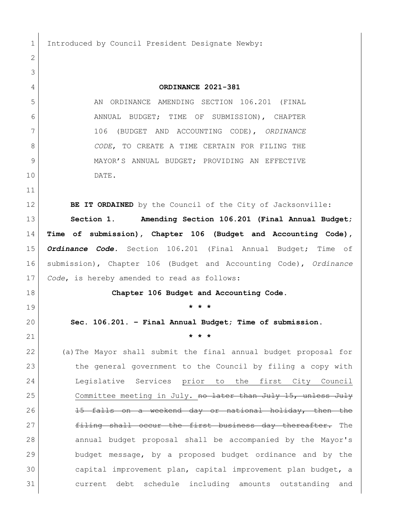1 Introduced by Council President Designate Newby:

 **ORDINANCE 2021-381** 5 AN ORDINANCE AMENDING SECTION 106.201 (FINAL ANNUAL BUDGET; TIME OF SUBMISSION), CHAPTER 106 (BUDGET AND ACCOUNTING CODE), *ORDINANCE CODE*, TO CREATE A TIME CERTAIN FOR FILING THE 9 MAYOR'S ANNUAL BUDGET; PROVIDING AN EFFECTIVE DATE. **BE IT ORDAINED** by the Council of the City of Jacksonville: **Section 1. Amending Section 106.201 (Final Annual Budget; Time of submission), Chapter 106 (Budget and Accounting Code),**  *Ordinance Code.* Section 106.201 (Final Annual Budget; Time of submission), Chapter 106 (Budget and Accounting Code), *Ordinance Code*, is hereby amended to read as follows: **Chapter 106 Budget and Accounting Code. \* \* \* Sec. 106.201. – Final Annual Budget; Time of submission. \* \* \*** (a)The Mayor shall submit the final annual budget proposal for the general government to the Council by filing a copy with Legislative Services prior to the first City Council 25 Committee meeting in July. no later than July 15, unless July 26 15 falls on a weekend day or national holiday, then the 27 Filing shall occur the first business day thereafter. The annual budget proposal shall be accompanied by the Mayor's budget message, by a proposed budget ordinance and by the capital improvement plan, capital improvement plan budget, a current debt schedule including amounts outstanding and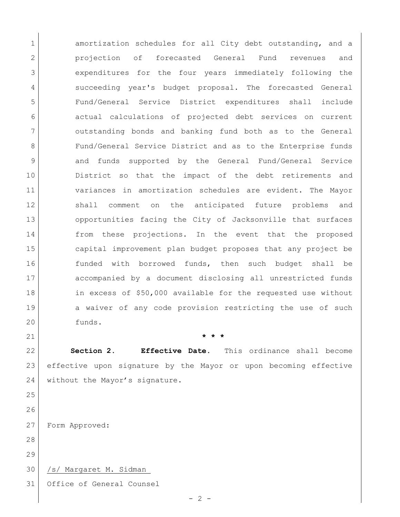1 amortization schedules for all City debt outstanding, and a projection of forecasted General Fund revenues and expenditures for the four years immediately following the succeeding year's budget proposal. The forecasted General Fund/General Service District expenditures shall include actual calculations of projected debt services on current outstanding bonds and banking fund both as to the General 8 Fund/General Service District and as to the Enterprise funds and funds supported by the General Fund/General Service District so that the impact of the debt retirements and variances in amortization schedules are evident. The Mayor shall comment on the anticipated future problems and 13 opportunities facing the City of Jacksonville that surfaces 14 from these projections. In the event that the proposed capital improvement plan budget proposes that any project be funded with borrowed funds, then such budget shall be accompanied by a document disclosing all unrestricted funds in excess of \$50,000 available for the requested use without 19 a waiver of any code provision restricting the use of such 20 funds.

 **Section 2. Effective Date.** This ordinance shall become effective upon signature by the Mayor or upon becoming effective 24 without the Mayor's signature.

 

Form Approved:

/s/ Margaret M. Sidman\_

Office of General Counsel

**\* \* \***